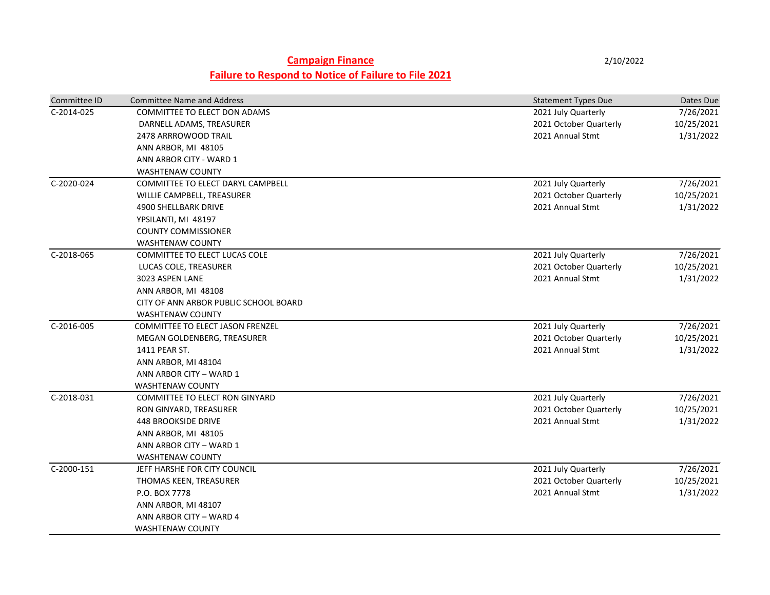## **Campaign Finance** 2/10/2022 **Failure to Respond to Notice of Failure to File 2021**

| Committee ID | <b>Committee Name and Address</b>       | <b>Statement Types Due</b> | Dates Due  |
|--------------|-----------------------------------------|----------------------------|------------|
| C-2014-025   | COMMITTEE TO ELECT DON ADAMS            | 2021 July Quarterly        | 7/26/2021  |
|              | DARNELL ADAMS, TREASURER                | 2021 October Quarterly     | 10/25/2021 |
|              | 2478 ARRROWOOD TRAIL                    | 2021 Annual Stmt           | 1/31/2022  |
|              | ANN ARBOR, MI 48105                     |                            |            |
|              | ANN ARBOR CITY - WARD 1                 |                            |            |
|              | <b>WASHTENAW COUNTY</b>                 |                            |            |
| C-2020-024   | COMMITTEE TO ELECT DARYL CAMPBELL       | 2021 July Quarterly        | 7/26/2021  |
|              | WILLIE CAMPBELL, TREASURER              | 2021 October Quarterly     | 10/25/2021 |
|              | 4900 SHELLBARK DRIVE                    | 2021 Annual Stmt           | 1/31/2022  |
|              | YPSILANTI, MI 48197                     |                            |            |
|              | <b>COUNTY COMMISSIONER</b>              |                            |            |
|              | <b>WASHTENAW COUNTY</b>                 |                            |            |
| C-2018-065   | COMMITTEE TO ELECT LUCAS COLE           | 2021 July Quarterly        | 7/26/2021  |
|              | LUCAS COLE, TREASURER                   | 2021 October Quarterly     | 10/25/2021 |
|              | 3023 ASPEN LANE                         | 2021 Annual Stmt           | 1/31/2022  |
|              | ANN ARBOR, MI 48108                     |                            |            |
|              | CITY OF ANN ARBOR PUBLIC SCHOOL BOARD   |                            |            |
|              | <b>WASHTENAW COUNTY</b>                 |                            |            |
| C-2016-005   | <b>COMMITTEE TO ELECT JASON FRENZEL</b> | 2021 July Quarterly        | 7/26/2021  |
|              | MEGAN GOLDENBERG, TREASURER             | 2021 October Quarterly     | 10/25/2021 |
|              | 1411 PEAR ST.                           | 2021 Annual Stmt           | 1/31/2022  |
|              | ANN ARBOR, MI 48104                     |                            |            |
|              | ANN ARBOR CITY - WARD 1                 |                            |            |
|              | <b>WASHTENAW COUNTY</b>                 |                            |            |
| C-2018-031   | COMMITTEE TO ELECT RON GINYARD          | 2021 July Quarterly        | 7/26/2021  |
|              | RON GINYARD, TREASURER                  | 2021 October Quarterly     | 10/25/2021 |
|              | <b>448 BROOKSIDE DRIVE</b>              | 2021 Annual Stmt           | 1/31/2022  |
|              | ANN ARBOR, MI 48105                     |                            |            |
|              | ANN ARBOR CITY - WARD 1                 |                            |            |
|              | <b>WASHTENAW COUNTY</b>                 |                            |            |
| C-2000-151   | JEFF HARSHE FOR CITY COUNCIL            | 2021 July Quarterly        | 7/26/2021  |
|              | THOMAS KEEN, TREASURER                  | 2021 October Quarterly     | 10/25/2021 |
|              | P.O. BOX 7778                           | 2021 Annual Stmt           | 1/31/2022  |
|              | ANN ARBOR, MI 48107                     |                            |            |
|              | ANN ARBOR CITY - WARD 4                 |                            |            |
|              | WASHTENAW COUNTY                        |                            |            |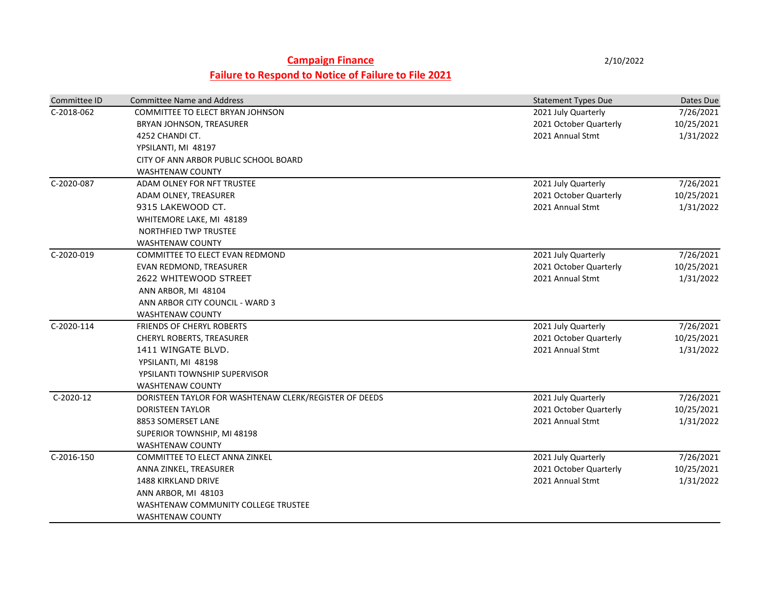## **Campaign Finance** 2/10/2022 **Failure to Respond to Notice of Failure to File 2021**

| Committee ID | <b>Committee Name and Address</b>                      | <b>Statement Types Due</b> | Dates Due  |
|--------------|--------------------------------------------------------|----------------------------|------------|
| C-2018-062   | COMMITTEE TO ELECT BRYAN JOHNSON                       | 2021 July Quarterly        | 7/26/2021  |
|              | BRYAN JOHNSON, TREASURER                               | 2021 October Quarterly     | 10/25/2021 |
|              | 4252 CHANDI CT.                                        | 2021 Annual Stmt           | 1/31/2022  |
|              | YPSILANTI, MI 48197                                    |                            |            |
|              | CITY OF ANN ARBOR PUBLIC SCHOOL BOARD                  |                            |            |
|              | <b>WASHTENAW COUNTY</b>                                |                            |            |
| C-2020-087   | ADAM OLNEY FOR NFT TRUSTEE                             | 2021 July Quarterly        | 7/26/2021  |
|              | ADAM OLNEY, TREASURER                                  | 2021 October Quarterly     | 10/25/2021 |
|              | 9315 LAKEWOOD CT.                                      | 2021 Annual Stmt           | 1/31/2022  |
|              | WHITEMORE LAKE, MI 48189                               |                            |            |
|              | NORTHFIED TWP TRUSTEE                                  |                            |            |
|              | <b>WASHTENAW COUNTY</b>                                |                            |            |
| C-2020-019   | COMMITTEE TO ELECT EVAN REDMOND                        | 2021 July Quarterly        | 7/26/2021  |
|              | EVAN REDMOND, TREASURER                                | 2021 October Quarterly     | 10/25/2021 |
|              | 2622 WHITEWOOD STREET                                  | 2021 Annual Stmt           | 1/31/2022  |
|              | ANN ARBOR, MI 48104                                    |                            |            |
|              | ANN ARBOR CITY COUNCIL - WARD 3                        |                            |            |
|              | <b>WASHTENAW COUNTY</b>                                |                            |            |
| C-2020-114   | FRIENDS OF CHERYL ROBERTS                              | 2021 July Quarterly        | 7/26/2021  |
|              | CHERYL ROBERTS, TREASURER                              | 2021 October Quarterly     | 10/25/2021 |
|              | 1411 WINGATE BLVD.                                     | 2021 Annual Stmt           | 1/31/2022  |
|              | YPSILANTI, MI 48198                                    |                            |            |
|              | YPSILANTI TOWNSHIP SUPERVISOR                          |                            |            |
|              | <b>WASHTENAW COUNTY</b>                                |                            |            |
| C-2020-12    | DORISTEEN TAYLOR FOR WASHTENAW CLERK/REGISTER OF DEEDS | 2021 July Quarterly        | 7/26/2021  |
|              | <b>DORISTEEN TAYLOR</b>                                | 2021 October Quarterly     | 10/25/2021 |
|              | 8853 SOMERSET LANE                                     | 2021 Annual Stmt           | 1/31/2022  |
|              | SUPERIOR TOWNSHIP, MI 48198                            |                            |            |
|              | <b>WASHTENAW COUNTY</b>                                |                            |            |
| C-2016-150   | COMMITTEE TO ELECT ANNA ZINKEL                         | 2021 July Quarterly        | 7/26/2021  |
|              | ANNA ZINKEL, TREASURER                                 | 2021 October Quarterly     | 10/25/2021 |
|              | <b>1488 KIRKLAND DRIVE</b>                             | 2021 Annual Stmt           | 1/31/2022  |
|              | ANN ARBOR, MI 48103                                    |                            |            |
|              | WASHTENAW COMMUNITY COLLEGE TRUSTEE                    |                            |            |
|              | <b>WASHTENAW COUNTY</b>                                |                            |            |